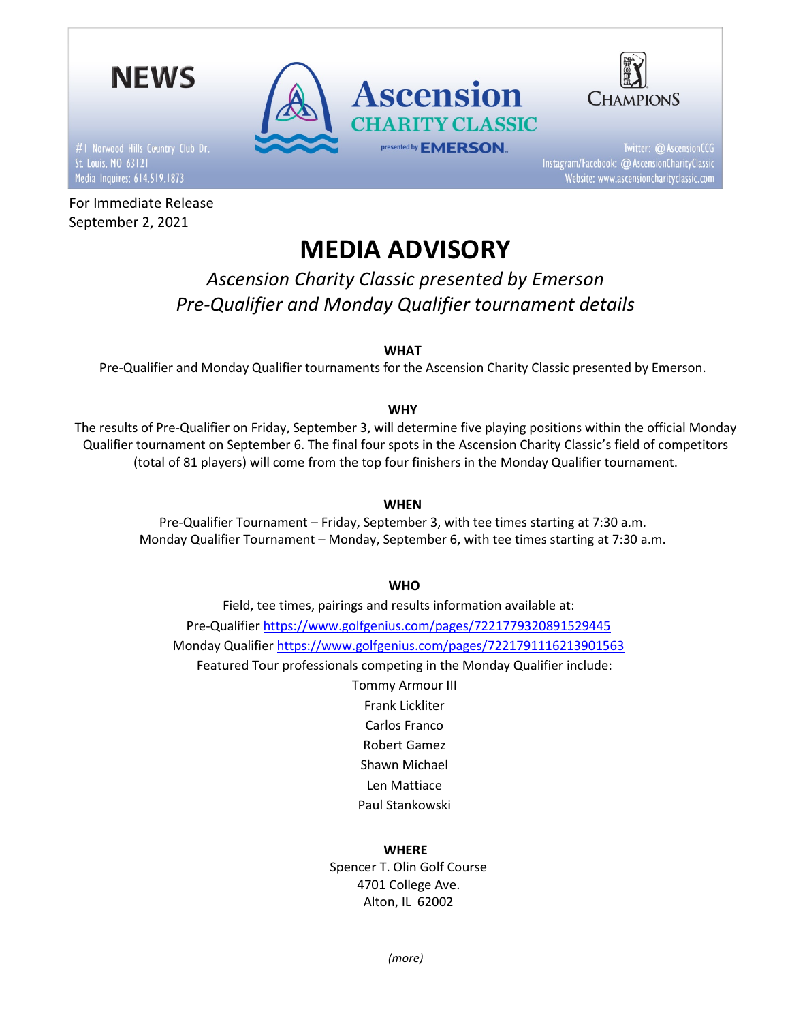

#1 Norwood Hills Country Club Dr. Media Inquires: 614.519.1873

For Immediate Release September 2, 2021



Twitter: @ AscensionCCG Instagram/Facebook: @ AscensionCharityClassic Website: www.ascensioncharityclassic.com

# MEDIA ADVISORY

**Ascension** 

presented by **EMERSON**.

**RITY CLASSIC** 

Ascension Charity Classic presented by Emerson Pre-Qualifier and Monday Qualifier tournament details

WHAT

Pre-Qualifier and Monday Qualifier tournaments for the Ascension Charity Classic presented by Emerson.

# WHY

The results of Pre-Qualifier on Friday, September 3, will determine five playing positions within the official Monday Qualifier tournament on September 6. The final four spots in the Ascension Charity Classic's field of competitors (total of 81 players) will come from the top four finishers in the Monday Qualifier tournament.

# **WHEN**

Pre-Qualifier Tournament – Friday, September 3, with tee times starting at 7:30 a.m. Monday Qualifier Tournament – Monday, September 6, with tee times starting at 7:30 a.m.

## **WHO**

Field, tee times, pairings and results information available at: Pre-Qualifier https://www.golfgenius.com/pages/7221779320891529445 Monday Qualifier https://www.golfgenius.com/pages/7221791116213901563 Featured Tour professionals competing in the Monday Qualifier include:

> Tommy Armour III Frank Lickliter Carlos Franco Robert Gamez Shawn Michael Len Mattiace Paul Stankowski

# WHERE

Spencer T. Olin Golf Course 4701 College Ave. Alton, IL 62002